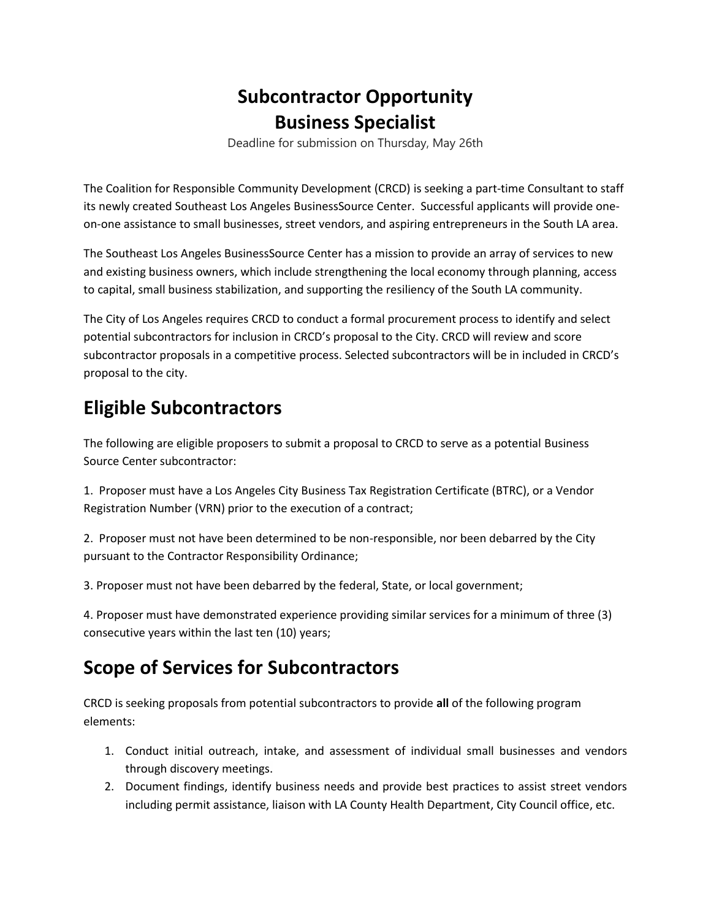## **Subcontractor Opportunity Business Specialist**

Deadline for submission on Thursday, May 26th

The Coalition for Responsible Community Development (CRCD) is seeking a part-time Consultant to staff its newly created Southeast Los Angeles BusinessSource Center. Successful applicants will provide oneon-one assistance to small businesses, street vendors, and aspiring entrepreneurs in the South LA area.

The Southeast Los Angeles BusinessSource Center has a mission to provide an array of services to new and existing business owners, which include strengthening the local economy through planning, access to capital, small business stabilization, and supporting the resiliency of the South LA community.

The City of Los Angeles requires CRCD to conduct a formal procurement process to identify and select potential subcontractors for inclusion in CRCD's proposal to the City. CRCD will review and score subcontractor proposals in a competitive process. Selected subcontractors will be in included in CRCD's proposal to the city.

## **Eligible Subcontractors**

The following are eligible proposers to submit a proposal to CRCD to serve as a potential Business Source Center subcontractor:

1. Proposer must have a Los Angeles City Business Tax Registration Certificate (BTRC), or a Vendor Registration Number (VRN) prior to the execution of a contract;

2. Proposer must not have been determined to be non-responsible, nor been debarred by the City pursuant to the Contractor Responsibility Ordinance;

3. Proposer must not have been debarred by the federal, State, or local government;

4. Proposer must have demonstrated experience providing similar services for a minimum of three (3) consecutive years within the last ten (10) years;

## **Scope of Services for Subcontractors**

CRCD is seeking proposals from potential subcontractors to provide **all** of the following program elements:

- 1. Conduct initial outreach, intake, and assessment of individual small businesses and vendors through discovery meetings.
- 2. Document findings, identify business needs and provide best practices to assist street vendors including permit assistance, liaison with LA County Health Department, City Council office, etc.